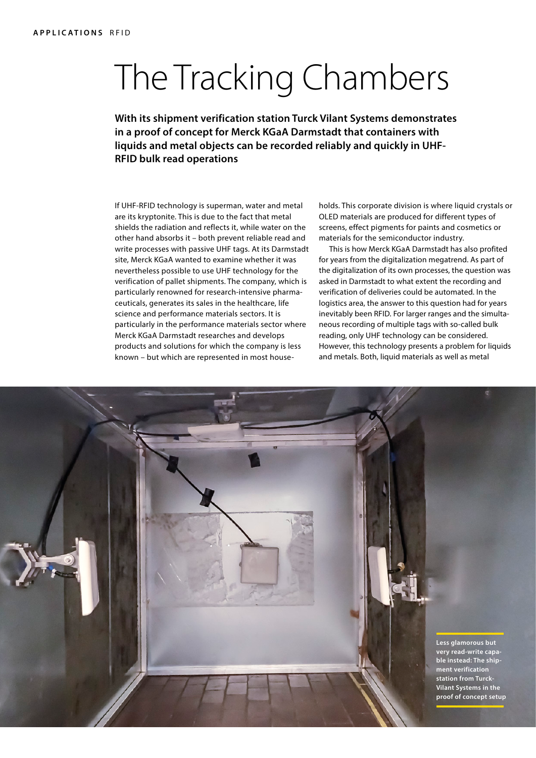# The Tracking Chambers

**With its shipment verification station Turck Vilant Systems demonstrates in a proof of concept for Merck KGaA Darmstadt that containers with liquids and metal objects can be recorded reliably and quickly in UHF-RFID bulk read operations**

If UHF-RFID technology is superman, water and metal are its kryptonite. This is due to the fact that metal shields the radiation and reflects it, while water on the other hand absorbs it – both prevent reliable read and write processes with passive UHF tags. At its Darmstadt site, Merck KGaA wanted to examine whether it was nevertheless possible to use UHF technology for the verification of pallet shipments. The company, which is particularly renowned for research-intensive pharmaceuticals, generates its sales in the healthcare, life science and performance materials sectors. It is particularly in the performance materials sector where Merck KGaA Darmstadt researches and develops products and solutions for which the company is less known – but which are represented in most households. This corporate division is where liquid crystals or OLED materials are produced for different types of screens, effect pigments for paints and cosmetics or materials for the semiconductor industry.

This is how Merck KGaA Darmstadt has also profited for years from the digitalization megatrend. As part of the digitalization of its own processes, the question was asked in Darmstadt to what extent the recording and verification of deliveries could be automated. In the logistics area, the answer to this question had for years inevitably been RFID. For larger ranges and the simultaneous recording of multiple tags with so-called bulk reading, only UHF technology can be considered. However, this technology presents a problem for liquids and metals. Both, liquid materials as well as metal

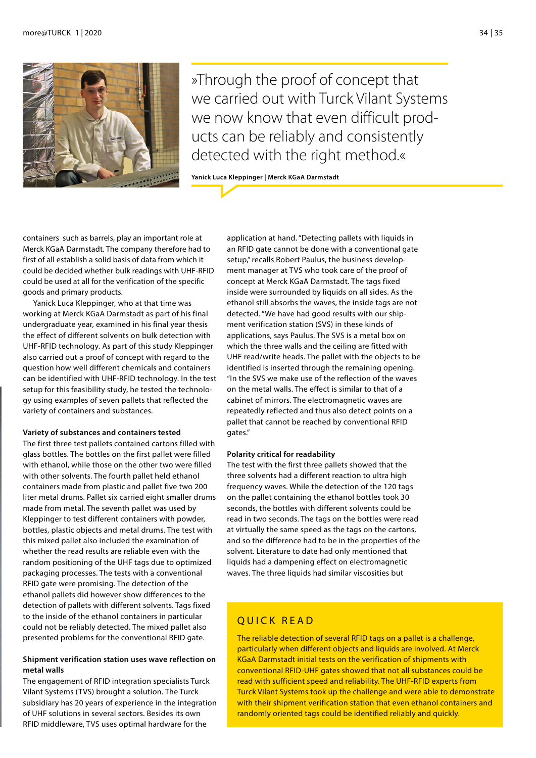



»Through the proof of concept that we carried out with Turck Vilant Systems we now know that even difficult products can be reliably and consistently detected with the right method.«

**Yanick Luca Kleppinger | Merck KGaA Darmstadt**

containers such as barrels, play an important role at Merck KGaA Darmstadt. The company therefore had to first of all establish a solid basis of data from which it could be decided whether bulk readings with UHF-RFID could be used at all for the verification of the specific goods and primary products.

Yanick Luca Kleppinger, who at that time was working at Merck KGaA Darmstadt as part of his final undergraduate year, examined in his final year thesis the effect of different solvents on bulk detection with UHF-RFID technology. As part of this study Kleppinger also carried out a proof of concept with regard to the question how well different chemicals and containers can be identified with UHF-RFID technology. In the test setup for this feasibility study, he tested the technology using examples of seven pallets that reflected the variety of containers and substances.

### **Variety of substances and containers tested**

The first three test pallets contained cartons filled with glass bottles. The bottles on the first pallet were filled with ethanol, while those on the other two were filled with other solvents. The fourth pallet held ethanol containers made from plastic and pallet five two 200 liter metal drums. Pallet six carried eight smaller drums made from metal. The seventh pallet was used by Kleppinger to test different containers with powder, bottles, plastic objects and metal drums. The test with this mixed pallet also included the examination of whether the read results are reliable even with the random positioning of the UHF tags due to optimized packaging processes. The tests with a conventional RFID gate were promising. The detection of the ethanol pallets did however show differences to the detection of pallets with different solvents. Tags fixed to the inside of the ethanol containers in particular could not be reliably detected. The mixed pallet also presented problems for the conventional RFID gate.

## **Shipment verification station uses wave reflection on metal walls**

The engagement of RFID integration specialists Turck Vilant Systems (TVS) brought a solution. The Turck subsidiary has 20 years of experience in the integration of UHF solutions in several sectors. Besides its own RFID middleware, TVS uses optimal hardware for the

application at hand. "Detecting pallets with liquids in an RFID gate cannot be done with a conventional gate setup," recalls Robert Paulus, the business development manager at TVS who took care of the proof of concept at Merck KGaA Darmstadt. The tags fixed inside were surrounded by liquids on all sides. As the ethanol still absorbs the waves, the inside tags are not detected. "We have had good results with our shipment verification station (SVS) in these kinds of applications, says Paulus. The SVS is a metal box on which the three walls and the ceiling are fitted with UHF read/write heads. The pallet with the objects to be identified is inserted through the remaining opening. "In the SVS we make use of the reflection of the waves on the metal walls. The effect is similar to that of a cabinet of mirrors. The electromagnetic waves are repeatedly reflected and thus also detect points on a pallet that cannot be reached by conventional RFID gates."

## **Polarity critical for readability**

The test with the first three pallets showed that the three solvents had a different reaction to ultra high frequency waves. While the detection of the 120 tags on the pallet containing the ethanol bottles took 30 seconds, the bottles with different solvents could be read in two seconds. The tags on the bottles were read at virtually the same speed as the tags on the cartons, and so the difference had to be in the properties of the solvent. Literature to date had only mentioned that liquids had a dampening effect on electromagnetic waves. The three liquids had similar viscosities but

# QUICK READ

The reliable detection of several RFID tags on a pallet is a challenge, particularly when different objects and liquids are involved. At Merck KGaA Darmstadt initial tests on the verification of shipments with conventional RFID-UHF gates showed that not all substances could be read with sufficient speed and reliability. The UHF-RFID experts from Turck Vilant Systems took up the challenge and were able to demonstrate with their shipment verification station that even ethanol containers and randomly oriented tags could be identified reliably and quickly.